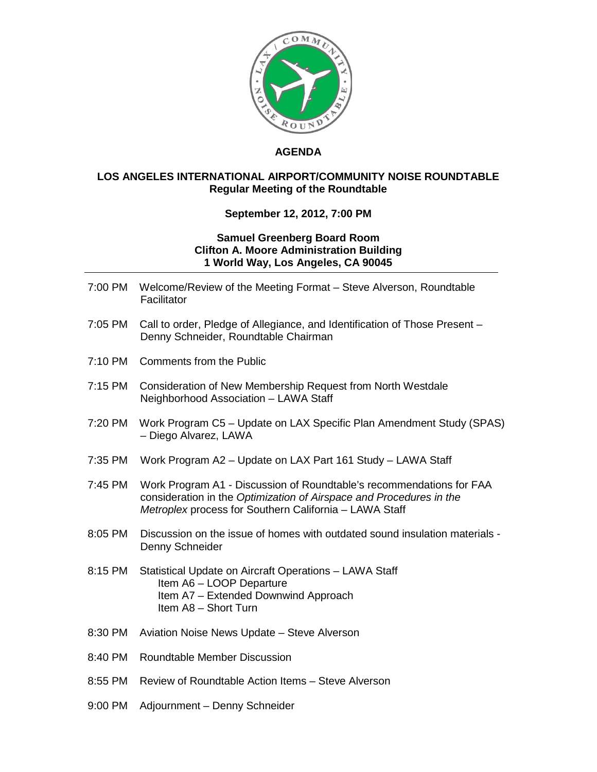

## **AGENDA**

## **LOS ANGELES INTERNATIONAL AIRPORT/COMMUNITY NOISE ROUNDTABLE Regular Meeting of the Roundtable**

## **September 12, 2012, 7:00 PM**

## **Samuel Greenberg Board Room Clifton A. Moore Administration Building 1 World Way, Los Angeles, CA 90045**

- 7:00 PM Welcome/Review of the Meeting Format Steve Alverson, Roundtable **Facilitator** 7:05 PM Call to order, Pledge of Allegiance, and Identification of Those Present – Denny Schneider, Roundtable Chairman 7:10 PM Comments from the Public 7:15 PM Consideration of New Membership Request from North Westdale Neighborhood Association – LAWA Staff 7:20 PM Work Program C5 – Update on LAX Specific Plan Amendment Study (SPAS) – Diego Alvarez, LAWA 7:35 PM Work Program A2 – Update on LAX Part 161 Study – LAWA Staff 7:45 PM Work Program A1 - Discussion of Roundtable's recommendations for FAA consideration in the *Optimization of Airspace and Procedures in the Metroplex* process for Southern California – LAWA Staff 8:05 PM Discussion on the issue of homes with outdated sound insulation materials - Denny Schneider 8:15 PM Statistical Update on Aircraft Operations – LAWA Staff Item A6 – LOOP Departure Item A7 – Extended Downwind Approach Item A8 – Short Turn 8:30 PM Aviation Noise News Update – Steve Alverson 8:40 PM Roundtable Member Discussion
- 8:55 PM Review of Roundtable Action Items Steve Alverson
- 9:00 PM Adjournment Denny Schneider